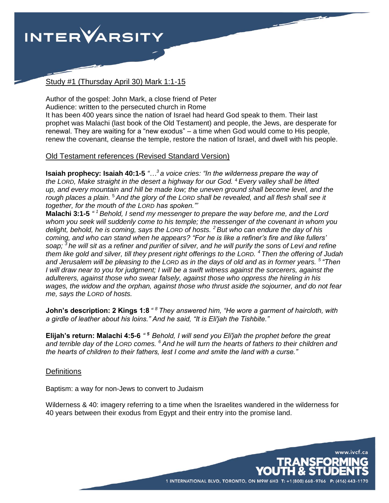

# Study #1 (Thursday April 30) Mark 1:1-15

Author of the gospel: John Mark, a close friend of Peter Audience: written to the persecuted church in Rome It has been 400 years since the nation of Israel had heard God speak to them. Their last prophet was Malachi (last book of the Old Testament) and people, the Jews, are desperate for renewal. They are waiting for a "new exodus" – a time when God would come to His people, renew the covenant, cleanse the temple, restore the nation of Israel, and dwell with his people.

## Old Testament references (Revised Standard Version)

**Isaiah prophecy: Isaiah 40:1-5** *"…<sup>3</sup>a voice cries: "In the wilderness prepare the way of the LORD, Make straight in the desert a highway for our God.* <sup>4</sup>*Every valley shall be lifted up, and every mountain and hill be made low; the uneven ground shall become level, and the rough places a plain.* <sup>5</sup>*And the glory of the LORD shall be revealed, and all flesh shall see it together, for the mouth of the LORD has spoken."'*

**Malachi 3:1-5** *" <sup>1</sup>Behold, I send my messenger to prepare the way before me, and the Lord whom you seek will suddenly come to his temple; the messenger of the covenant in whom you delight, behold, he is coming, says the LORD of hosts. <sup>2</sup>But who can endure the day of his coming, and who can stand when he appears? "For he is like a refiner's fire and like fullers' soap; <sup>3</sup>he will sit as a refiner and purifier of silver, and he will purify the sons of Levi and refine them like gold and silver, till they present right offerings to the LORD. <sup>4</sup>Then the offering of Judah and Jerusalem will be pleasing to the LORD as in the days of old and as in former years. <sup>5</sup>"Then I* will draw near to you for judgment; I will be a swift witness against the sorcerers, against the *adulterers, against those who swear falsely, against those who oppress the hireling in his wages, the widow and the orphan, against those who thrust aside the sojourner, and do not fear me, says the LORD of hosts.*

**John's description: 2 Kings 1:8** *" <sup>8</sup> They answered him, "He wore a garment of haircloth, with a girdle of leather about his loins." And he said, "It is Eli′jah the Tishbite."*

**Elijah's return: Malachi 4:5-6** *" <sup>5</sup>Behold, I will send you Eli′jah the prophet before the great and terrible day of the LORD comes. <sup>6</sup>And he will turn the hearts of fathers to their children and the hearts of children to their fathers, lest I come and smite the land with a curse."*

## **Definitions**

Baptism: a way for non-Jews to convert to Judaism

Wilderness & 40: imagery referring to a time when the Israelites wandered in the wilderness for 40 years between their exodus from Egypt and their entry into the promise land.

1 INTERNATIONAL BLVD, TORONTO, ON M9W 6H3 T: +

www.ivcf.ca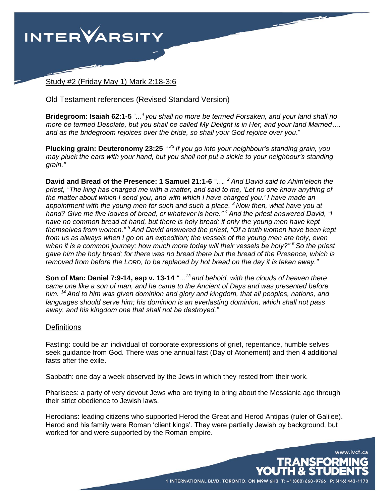

Study #2 (Friday May 1) Mark 2:18-3:6

#### Old Testament references (Revised Standard Version)

**Bridegroom: Isaiah 62:1-5** "*... <sup>4</sup>you shall no more be termed Forsaken, and your land shall no more be termed Desolate, but you shall be called My Delight is in Her, and your land Married…. and as the bridegroom rejoices over the bride, so shall your God rejoice over you*."

**Plucking grain: Deuteronomy 23:25** *" <sup>23</sup> If you go into your neighbour's standing grain, you may pluck the ears with your hand, but you shall not put a sickle to your neighbour's standing grain."*

**David and Bread of the Presence: 1 Samuel 21:1-6** *"…. <sup>2</sup>And David said to Ahim′elech the priest, "The king has charged me with a matter, and said to me, 'Let no one know anything of the matter about which I send you, and with which I have charged you.' I have made an appointment with the young men for such and such a place. <sup>3</sup>Now then, what have you at hand? Give me five loaves of bread, or whatever is here." <sup>4</sup>And the priest answered David, "I have no common bread at hand, but there is holy bread; if only the young men have kept themselves from women." <sup>5</sup>And David answered the priest, "Of a truth women have been kept from us as always when I go on an expedition; the vessels of the young men are holy, even when it is a common journey; how much more today will their vessels be holy?" <sup>6</sup>So the priest gave him the holy bread; for there was no bread there but the bread of the Presence, which is removed from before the LORD, to be replaced by hot bread on the day it is taken away."*

**Son of Man: Daniel 7:9-14, esp v. 13-14** *"…<sup>13</sup>and behold, with the clouds of heaven there came one like a son of man, and he came to the Ancient of Days and was presented before him. <sup>14</sup>And to him was given dominion and glory and kingdom, that all peoples, nations, and languages should serve him; his dominion is an everlasting dominion, which shall not pass away, and his kingdom one that shall not be destroyed."*

#### **Definitions**

Fasting: could be an individual of corporate expressions of grief, repentance, humble selves seek guidance from God. There was one annual fast (Day of Atonement) and then 4 additional fasts after the exile.

Sabbath: one day a week observed by the Jews in which they rested from their work.

Pharisees: a party of very devout Jews who are trying to bring about the Messianic age through their strict obedience to Jewish laws.

Herodians: leading citizens who supported Herod the Great and Herod Antipas (ruler of Galilee). Herod and his family were Roman 'client kings'. They were partially Jewish by background, but worked for and were supported by the Roman empire.

1 INTERNATIONAL BLVD, TORONTO, ON M9W 6H3 T: +1 (800) 668-9766

www.ivcf.ca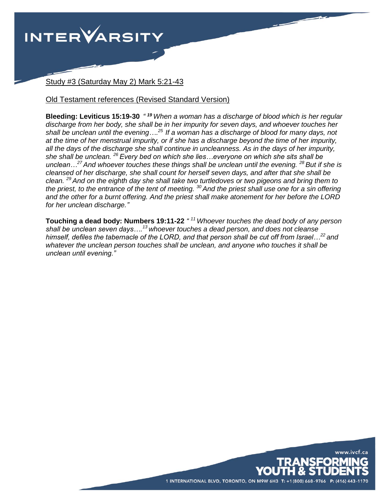

Study #3 (Saturday May 2) Mark 5:21-43

# Old Testament references (Revised Standard Version)

**Bleeding: Leviticus 15:19-30** *" <sup>19</sup> When a woman has a discharge of blood which is her regular discharge from her body, she shall be in her impurity for seven days, and whoever touches her shall be unclean until the evening…. <sup>25</sup>If a woman has a discharge of blood for many days, not at the time of her menstrual impurity, or if she has a discharge beyond the time of her impurity, all the days of the discharge she shall continue in uncleanness. As in the days of her impurity, she shall be unclean. <sup>26</sup>Every bed on which she lies…everyone on which she sits shall be unclean…<sup>27</sup>And whoever touches these things shall be unclean until the evening. <sup>28</sup>But if she is cleansed of her discharge, she shall count for herself seven days, and after that she shall be clean. <sup>29</sup>And on the eighth day she shall take two turtledoves or two pigeons and bring them to the priest, to the entrance of the tent of meeting. <sup>30</sup>And the priest shall use one for a sin offering and the other for a burnt offering. And the priest shall make atonement for her before the LORD for her unclean discharge."*

**Touching a dead body: Numbers 19:11-22** *" <sup>11</sup>Whoever touches the dead body of any person shall be unclean seven days….<sup>13</sup>whoever touches a dead person, and does not cleanse himself, defiles the tabernacle of the LORD, and that person shall be cut off from Israel…<sup>22</sup>and whatever the unclean person touches shall be unclean, and anyone who touches it shall be unclean until evening."*

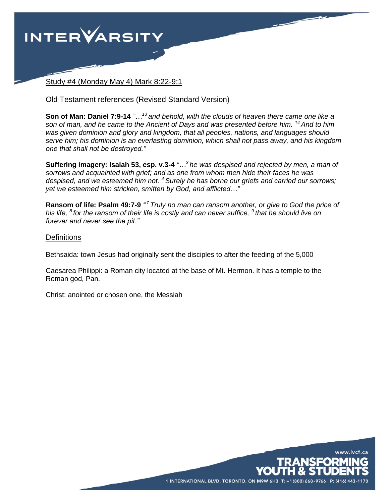

Study #4 (Monday May 4) Mark 8:22-9:1

## Old Testament references (Revised Standard Version)

**Son of Man: Daniel 7:9-14** *"…<sup>13</sup>and behold, with the clouds of heaven there came one like a son of man, and he came to the Ancient of Days and was presented before him. <sup>14</sup>And to him was given dominion and glory and kingdom, that all peoples, nations, and languages should serve him; his dominion is an everlasting dominion, which shall not pass away, and his kingdom one that shall not be destroyed."*

**Suffering imagery: Isaiah 53, esp. v.3-4** *"…<sup>3</sup>he was despised and rejected by men, a man of sorrows and acquainted with grief; and as one from whom men hide their faces he was despised, and we esteemed him not. <sup>4</sup>Surely he has borne our griefs and carried our sorrows; yet we esteemed him stricken, smitten by God, and afflicted…"*

**Ransom of life: Psalm 49:7-9** *" <sup>7</sup>Truly no man can ransom another, or give to God the price of his life, <sup>8</sup>for the ransom of their life is costly and can never suffice, <sup>9</sup>that he should live on forever and never see the pit."*

## **Definitions**

Bethsaida: town Jesus had originally sent the disciples to after the feeding of the 5,000

Caesarea Philippi: a Roman city located at the base of Mt. Hermon. It has a temple to the Roman god, Pan.

Christ: anointed or chosen one, the Messiah

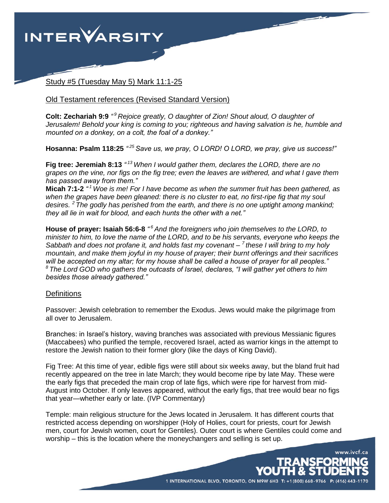

Study #5 (Tuesday May 5) Mark 11:1-25

#### Old Testament references (Revised Standard Version)

**Colt: Zechariah 9:9** *" <sup>9</sup>Rejoice greatly, O daughter of Zion! Shout aloud, O daughter of Jerusalem! Behold your king is coming to you; righteous and having salvation is he, humble and mounted on a donkey, on a colt, the foal of a donkey."*

**Hosanna: Psalm 118:25** *" <sup>25</sup>Save us, we pray, O LORD! O LORD, we pray, give us success!"*

**Fig tree: Jeremiah 8:13** *" <sup>13</sup>When I would gather them, declares the LORD, there are no grapes on the vine, nor figs on the fig tree; even the leaves are withered, and what I gave them has passed away from them."*

**Micah 7:1-2** *" <sup>1</sup>Woe is me! For I have become as when the summer fruit has been gathered, as when the grapes have been gleaned: there is no cluster to eat, no first-ripe fig that my soul desires. <sup>2</sup>The godly has perished from the earth, and there is no one uptight among mankind; they all lie in wait for blood, and each hunts the other with a net."*

**House of prayer: Isaiah 56:6-8** *" <sup>6</sup>And the foreigners who join themselves to the LORD, to minister to him, to love the name of the LORD, and to be his servants, everyone who keeps the Sabbath and does not profane it, and holds fast my covenant – <sup>7</sup>these I will bring to my holy mountain, and make them joyful in my house of prayer; their burnt offerings and their sacrifices will be accepted on my altar; for my house shall be called a house of prayer for all peoples." <sup>8</sup>The Lord GOD who gathers the outcasts of Israel, declares, "I will gather yet others to him besides those already gathered."*

## **Definitions**

Passover: Jewish celebration to remember the Exodus. Jews would make the pilgrimage from all over to Jerusalem.

Branches: in Israel's history, waving branches was associated with previous Messianic figures (Maccabees) who purified the temple, recovered Israel, acted as warrior kings in the attempt to restore the Jewish nation to their former glory (like the days of King David).

Fig Tree: At this time of year, edible figs were still about six weeks away, but the bland fruit had recently appeared on the tree in late March; they would become ripe by late May. These were the early figs that preceded the main crop of late figs, which were ripe for harvest from mid-August into October. If only leaves appeared, without the early figs, that tree would bear no figs that year—whether early or late. (IVP Commentary)

Temple: main religious structure for the Jews located in Jerusalem. It has different courts that restricted access depending on worshipper (Holy of Holies, court for priests, court for Jewish men, court for Jewish women, court for Gentiles). Outer court is where Gentiles could come and worship – this is the location where the moneychangers and selling is set up.

www.ivcf.ca

NSFORMING

1 INTERNATIONAL BLVD, TORONTO, ON M9W 6H3 T: +1(800) 668-9766 P: (416) 443-1170